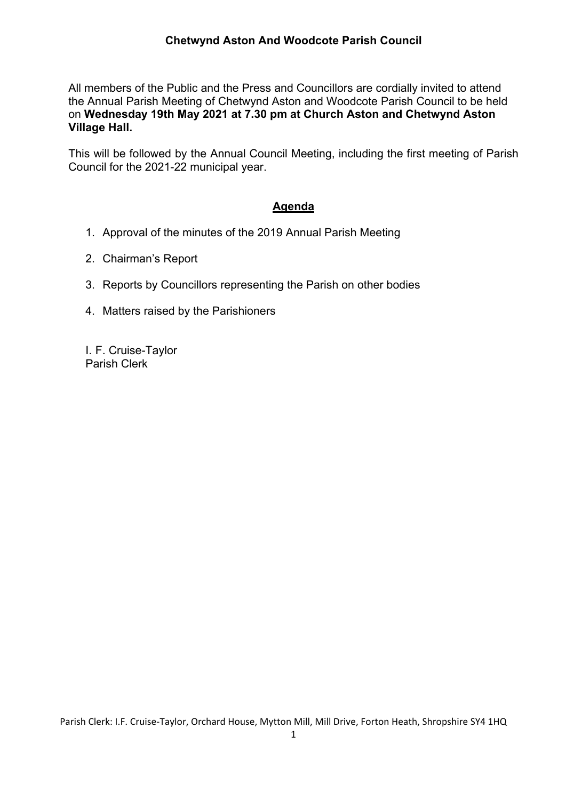All members of the Public and the Press and Councillors are cordially invited to attend the Annual Parish Meeting of Chetwynd Aston and Woodcote Parish Council to be held on **Wednesday 19th May 2021 at 7.30 pm at Church Aston and Chetwynd Aston Village Hall.** 

This will be followed by the Annual Council Meeting, including the first meeting of Parish Council for the 2021-22 municipal year.

## **Agenda**

- 1. Approval of the minutes of the 2019 Annual Parish Meeting
- 2. Chairman's Report
- 3. Reports by Councillors representing the Parish on other bodies
- 4. Matters raised by the Parishioners

I. F. Cruise-Taylor Parish Clerk

Parish Clerk: I.F. Cruise‐Taylor, Orchard House, Mytton Mill, Mill Drive, Forton Heath, Shropshire SY4 1HQ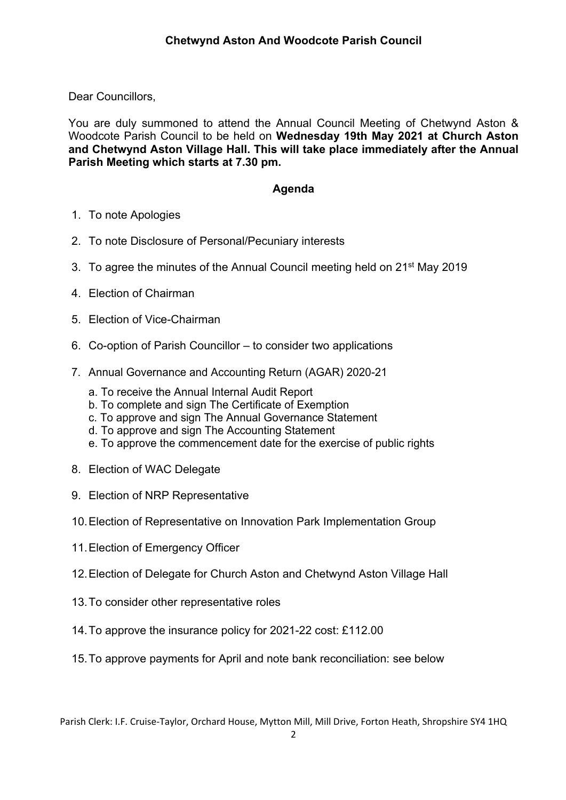Dear Councillors,

You are duly summoned to attend the Annual Council Meeting of Chetwynd Aston & Woodcote Parish Council to be held on **Wednesday 19th May 2021 at Church Aston and Chetwynd Aston Village Hall. This will take place immediately after the Annual Parish Meeting which starts at 7.30 pm.** 

## **Agenda**

- 1. To note Apologies
- 2. To note Disclosure of Personal/Pecuniary interests
- 3. To agree the minutes of the Annual Council meeting held on 21<sup>st</sup> May 2019
- 4. Election of Chairman
- 5. Election of Vice-Chairman
- 6. Co-option of Parish Councillor to consider two applications
- 7. Annual Governance and Accounting Return (AGAR) 2020-21
	- a. To receive the Annual Internal Audit Report
	- b. To complete and sign The Certificate of Exemption
	- c. To approve and sign The Annual Governance Statement
	- d. To approve and sign The Accounting Statement
	- e. To approve the commencement date for the exercise of public rights
- 8. Election of WAC Delegate
- 9. Election of NRP Representative
- 10. Election of Representative on Innovation Park Implementation Group
- 11. Election of Emergency Officer
- 12. Election of Delegate for Church Aston and Chetwynd Aston Village Hall
- 13. To consider other representative roles
- 14. To approve the insurance policy for 2021-22 cost: £112.00
- 15. To approve payments for April and note bank reconciliation: see below

Parish Clerk: I.F. Cruise‐Taylor, Orchard House, Mytton Mill, Mill Drive, Forton Heath, Shropshire SY4 1HQ